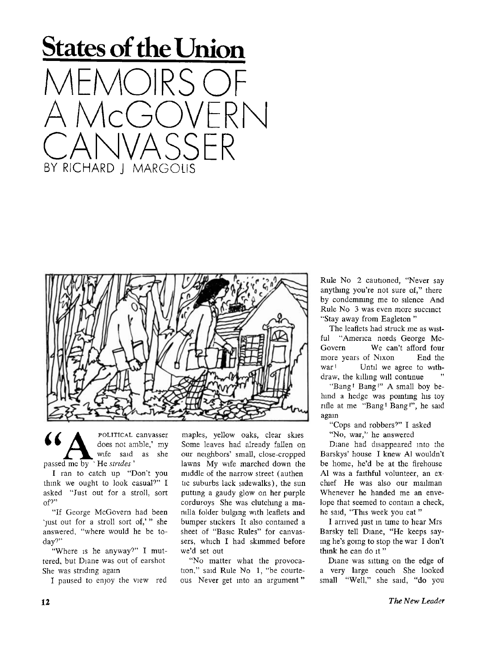



*u* POLITICAL canvasser ' does not amble,' my wife said as she passed me by ' He *strides '* 

I ran to catch up "Don't you think we ought to look casual?" I asked "Just out for a stroll, sort of  $2"$ 

"If George McGovern had been 'just out for a stroll sort of,'" she answered, "where would he be today?"

"Where is he anyway?" I muttered, but Diane was out of earshot She was striding again

I paused to enjoy the view red

maples, yellow oaks, clear skies Some leaves had already fallen on our neighbors' small, close-cropped lawns My wife marched down the middle of the narrow street (authen tic suburbs lack sidewalks), the sun putting a gaudy glow on her purple corduroys She was clutching a manilla folder bulging with leaflets and bumper stickers It also contained a sheet of "Basic Rules" for canvassers, which I had skimmed before we'd set out

"No matter what the provocation," said Rule No 1, "be courteous Never get into an argument" Rule No 2 cautioned, "Never say anything you're not sure of," there by condemning me to silence And Rule No 3 was even more succinct "Stay away from Eagleton "

The leaflets had struck me as wistful "America needs George Mc Govern We can't afford four more years of Nixon End the war <sup>1</sup> Until we agree to withdraw, the killing will continue

"Bang! Bang!" A small boy behind a hedge was pointing his toy rifle at me "Bang! Bang!", he said again

"Cops and robbers?" I asked

"No, war," he answered

Diane had disappeared into the Barskys' house I knew Al wouldn't be home, he'd be at the firehouse Al was a faithful volunteer, an exchief He was also our mailman Whenever he handed me an envelope that seemed to contain a check, he said, "This week you eat"

I arrived just in tune to hear Mrs Barsky tell Diane, "He keeps saying he's going to stop the war I don't think he can do it"

Diane was sitting on the edge of a very large couch She looked small "Well," she said, "do you